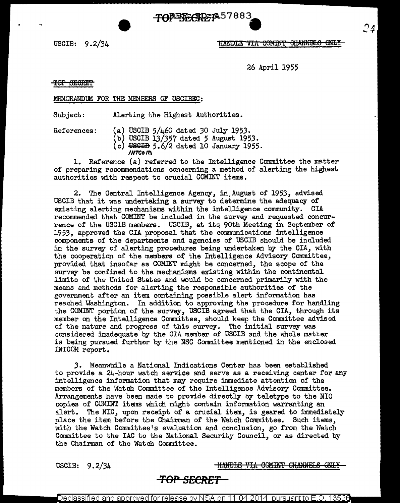USCIB: 9.2/34



26 April 1955

TOP SECRET

### MEMORANDUM FOR THE MEMBERS OF USCIBEC:

Subject: Alerting the Highest Authorities.

- References: (a) USCIB 5/460 dated *30* July 1953.
	- (b) USCIB 13/357 dated 5 August 1953.
	- $(c)$  USGIB 5.6/2 dated 10 January 1955. **/N7COl'1\**

1. Reference (a) referred to the Intelligence Committee the matter of preparing recommendations concerning a method of alerting the highest authorities with respect to crucial COMlNT items.

TONE TECRETA 57883

2. The Central Intelligence Agency, in:August of 1953, advised USCIB that it was undertaking a survey to determine the adequacy of existing alerting mechanisms within the intelligence community. CIA recommended that COMINT be included in the survey and requested concurrence of the USCIB members. USCIB, at its 90th Meeting in September of 1953, approved the CIA proposal that the communications intelligence components of the departments and agencies of USCIB should be included in the survey of alerting procedures being undertaken by the CIA, with the cooperation of the members *ot* the Intelligence Advisory Committee, provided that insofar as COMINT might be concerned, the scope of the survey be confined to the mechanisms existing within the continental limits of the United States and would be concerned primarily with the means and methods for alerting the responsible authorities of the government. after an item containing possible alert information has reached Washington. In addition to approving the procedure for handling the COMINT portion of the survey, USCIB agreed that the CIA, through its member on the Intelligence Committee, should keep the Committee advised of the nature and progress of this survey. The initial survey was considered inadequate by the CIA member of USCIB and the whole matter is being pursued further by the NSC Committee mentioned in the enclosed INTCOM report.

3. Meanwhile a National Indications Center has been established to provide a  $24$ -hour watch service and serve as a receiving center for any intelligence information that may require immediate attention of the members of the Watch Committee of the Intelligence Advisory Committee. Arrangements have been made to provide directly by teletype to the NIC copies of COMINT items which might contain information warranting an alert. The NIC, upon receipt of a crucial item, is geared to immediately place the item before the Chairman of the Watch Committee. Such items, with the Watch Committee's evaluation and conclusion, go from the Watch Committee to the IAC to the National Security Council, or as directed by the Chairman of the Watch Committee.

USCIB: 9.2/34 **HANDLE VIA COMINT CHANNELS ONLY** 

# **TOP SECRET**

Declassified and approved for release by NSA on 11-04-2014  $\,$  pursuant to E.O. 13526  $\,$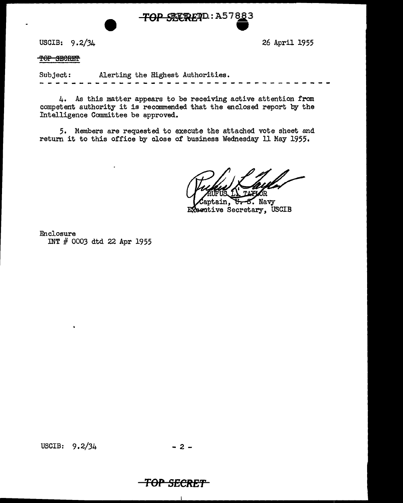TOP SEEREND: A57883

USCIB: 9. 2/34

26 April 1955

TOP SECRET

Subject: Alerting the Highest Authorities.

4. As this matter appears to be receiving active attention from competent authority it is recommended that the enclosed report by the Intelligence Committee be approved.

5. Members are requested to execute the attached vote sheet and return it to this office by close of business Wednesday 11 May 1955.

aptain, U-S. Navy Executive Secretary, USCIB

Enclosure INT # 0003 dtd 22 Apr 1955

USCIB:  $9.2/34$  - 2 -

 $\overline{\mathbf{r}}$ 

## **TOP** *SECRET*